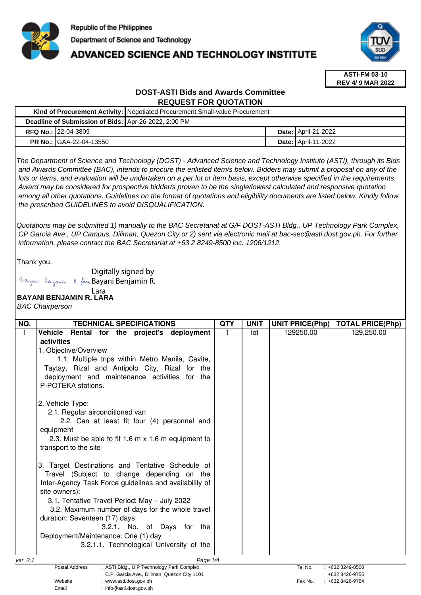

# **ADVANCED SCIENCE AND TECHNOLOGY INSTITUTE**



**ASTI-FM 03-10 REV 4/ 9 MAR 2022**

## **DOST-ASTI Bids and Awards Committee REQUEST FOR QUOTATION**

|  |                                                      | Kind of Procurement Activity:   Negotiated Procurement: Small-value Procurement |  |                              |  |
|--|------------------------------------------------------|---------------------------------------------------------------------------------|--|------------------------------|--|
|  | Deadline of Submission of Bids: Apr-26-2022, 2:00 PM |                                                                                 |  |                              |  |
|  | <b>RFQ No.: 22-04-3809</b>                           |                                                                                 |  | <b>Date:   April-21-2022</b> |  |
|  | <b>PR No.: GAA-22-04-13550</b>                       |                                                                                 |  | <b>Date: April-11-2022</b>   |  |

The Department of Science and Technology (DOST) - Advanced Science and Technology Institute (ASTI), through its Bids and Awards Committee (BAC), intends to procure the enlisted item/s below. Bidders may submit a proposal on any of the lots or items, and evaluation will be undertaken on a per lot or item basis, except otherwise specified in the requirements. Award may be considered for prospective bidder/s proven to be the single/lowest calculated and responsive quotation among all other quotations. Guidelines on the format of quotations and eligibility documents are listed below. Kindly follow the prescribed GUIDELINES to avoid DISQUALIFICATION.

Quotations may be submitted 1) manually to the BAC Secretariat at G/F DOST-ASTI Bldg., UP Technology Park Complex, CP Garcia Ave., UP Campus, Diliman, Quezon City or 2) sent via electronic mail at bac-sec@asti.dost.gov.ph. For further information, please contact the BAC Secretariat at +63 2 8249-8500 loc. 1206/1212.

Thank you.

Digitally signed by

Bayani Benjamin R. fan Bayani Benjamin R.

Email : info@asti.dost.gov.ph

#### **BAYANI BENJAMIN R. LARA**  Lara

BAC Chairperson

| NO.      | <b>TECHNICAL SPECIFICATIONS</b>                                                  | <b>QTY</b> | <b>UNIT</b> | <b>UNIT PRICE(Php)</b> | <b>TOTAL PRICE(Php)</b>          |
|----------|----------------------------------------------------------------------------------|------------|-------------|------------------------|----------------------------------|
|          | <b>Vehicle</b><br>Rental for the project's deployment                            |            | lot         | 129250.00              | 129,250.00                       |
|          | activities                                                                       |            |             |                        |                                  |
|          | 1. Objective/Overview                                                            |            |             |                        |                                  |
|          | 1.1. Multiple trips within Metro Manila, Cavite,                                 |            |             |                        |                                  |
|          | Taytay, Rizal and Antipolo City, Rizal for the                                   |            |             |                        |                                  |
|          | deployment and maintenance activities for the                                    |            |             |                        |                                  |
|          | P-POTEKA stations.                                                               |            |             |                        |                                  |
|          | 2. Vehicle Type:                                                                 |            |             |                        |                                  |
|          | 2.1. Regular airconditioned van                                                  |            |             |                        |                                  |
|          | 2.2. Can at least fit four (4) personnel and                                     |            |             |                        |                                  |
|          | equipment                                                                        |            |             |                        |                                  |
|          | 2.3. Must be able to fit 1.6 m x 1.6 m equipment to                              |            |             |                        |                                  |
|          | transport to the site                                                            |            |             |                        |                                  |
|          | 3. Target Destinations and Tentative Schedule of                                 |            |             |                        |                                  |
|          | Travel (Subject to change depending on the                                       |            |             |                        |                                  |
|          | Inter-Agency Task Force guidelines and availability of                           |            |             |                        |                                  |
|          | site owners):                                                                    |            |             |                        |                                  |
|          | 3.1. Tentative Travel Period: May - July 2022                                    |            |             |                        |                                  |
|          | 3.2. Maximum number of days for the whole travel                                 |            |             |                        |                                  |
|          | duration: Seventeen (17) days                                                    |            |             |                        |                                  |
|          | 3.2.1. No. of Days for the                                                       |            |             |                        |                                  |
|          | Deployment/Maintenance: One (1) day                                              |            |             |                        |                                  |
|          | 3.2.1.1. Technological University of the                                         |            |             |                        |                                  |
| ver. 2.1 | Page 1/4                                                                         |            |             |                        |                                  |
|          | Postal Address<br>: ASTI Bldg., U.P Technology Park Complex,                     |            |             | Tel No.                | $: +6328249-8500$                |
|          | C.P. Garcia Ave., Diliman, Quezon City 1101<br>Website<br>: www.asti.dost.gov.ph |            |             | Fax No.                | +632 8426-9755<br>+632 8426-9764 |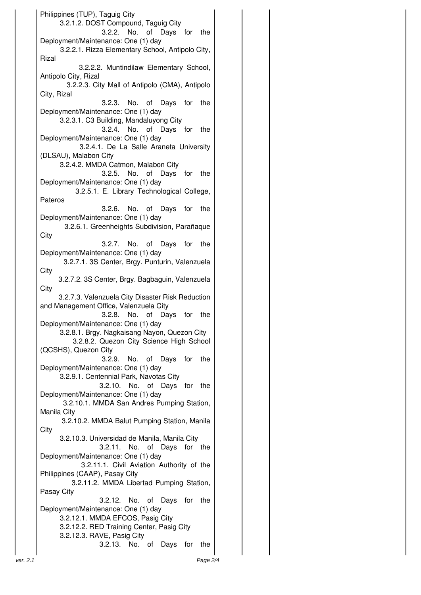Philippines (TUP), Taguig City 3.2.1.2. DOST Compound, Taguig City 3.2.2. No. of Days for the Deployment/Maintenance: One (1) day 3.2.2.1. Rizza Elementary School, Antipolo City, Rizal 3.2.2.2. Muntindilaw Elementary School, Antipolo City, Rizal 3.2.2.3. City Mall of Antipolo (CMA), Antipolo City, Rizal 3.2.3. No. of Days for the Deployment/Maintenance: One (1) day 3.2.3.1. C3 Building, Mandaluyong City 3.2.4. No. of Days for the Deployment/Maintenance: One (1) day 3.2.4.1. De La Salle Araneta University (DLSAU), Malabon City 3.2.4.2. MMDA Catmon, Malabon City 3.2.5. No. of Days for the Deployment/Maintenance: One (1) day 3.2.5.1. E. Library Technological College, Pateros 3.2.6. No. of Days for the Deployment/Maintenance: One (1) day 3.2.6.1. Greenheights Subdivision, Parañaque **City** 3.2.7. No. of Days for the Deployment/Maintenance: One (1) day 3.2.7.1. 3S Center, Brgy. Punturin, Valenzuela **City** 3.2.7.2. 3S Center, Brgy. Bagbaguin, Valenzuela **City** 3.2.7.3. Valenzuela City Disaster Risk Reduction and Management Office, Valenzuela City 3.2.8. No. of Days for the Deployment/Maintenance: One (1) day 3.2.8.1. Brgy. Nagkaisang Nayon, Quezon City 3.2.8.2. Quezon City Science High School (QCSHS), Quezon City 3.2.9. No. of Days for the Deployment/Maintenance: One (1) day 3.2.9.1. Centennial Park, Navotas City 3.2.10. No. of Days for the Deployment/Maintenance: One (1) day 3.2.10.1. MMDA San Andres Pumping Station, Manila City 3.2.10.2. MMDA Balut Pumping Station, Manila **City**  3.2.10.3. Universidad de Manila, Manila City 3.2.11. No. of Days for the Deployment/Maintenance: One (1) day 3.2.11.1. Civil Aviation Authority of the Philippines (CAAP), Pasay City 3.2.11.2. MMDA Libertad Pumping Station, Pasay City 3.2.12. No. of Days for the Deployment/Maintenance: One (1) day 3.2.12.1. MMDA EFCOS, Pasig City 3.2.12.2. RED Training Center, Pasig City 3.2.12.3. RAVE, Pasig City 3.2.13. No. of Days for the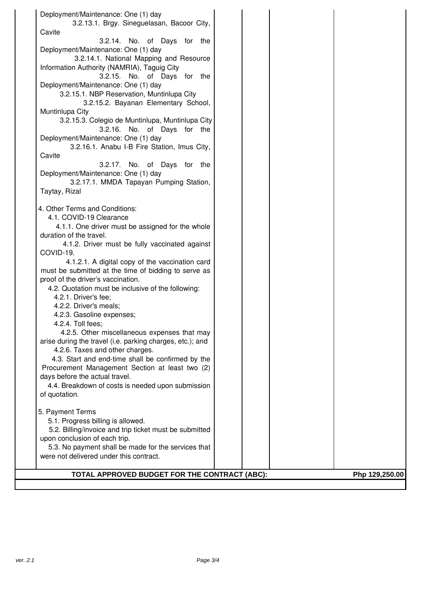| Deployment/Maintenance: One (1) day                       |  |                |
|-----------------------------------------------------------|--|----------------|
| 3.2.13.1. Brgy. Sineguelasan, Bacoor City,                |  |                |
| Cavite                                                    |  |                |
| 3.2.14. No. of Days for the                               |  |                |
| Deployment/Maintenance: One (1) day                       |  |                |
| 3.2.14.1. National Mapping and Resource                   |  |                |
| Information Authority (NAMRIA), Taguig City               |  |                |
| 3.2.15. No. of Days for the                               |  |                |
| Deployment/Maintenance: One (1) day                       |  |                |
| 3.2.15.1. NBP Reservation, Muntinlupa City                |  |                |
| 3.2.15.2. Bayanan Elementary School,                      |  |                |
| Muntinlupa City                                           |  |                |
| 3.2.15.3. Colegio de Muntinlupa, Muntinlupa City          |  |                |
| 3.2.16. No. of Days for the                               |  |                |
| Deployment/Maintenance: One (1) day                       |  |                |
|                                                           |  |                |
| 3.2.16.1. Anabu I-B Fire Station, Imus City,              |  |                |
| Cavite                                                    |  |                |
| 3.2.17. No. of Days for the                               |  |                |
| Deployment/Maintenance: One (1) day                       |  |                |
| 3.2.17.1. MMDA Tapayan Pumping Station,                   |  |                |
| Taytay, Rizal                                             |  |                |
|                                                           |  |                |
| 4. Other Terms and Conditions:                            |  |                |
| 4.1. COVID-19 Clearance                                   |  |                |
| 4.1.1. One driver must be assigned for the whole          |  |                |
| duration of the travel.                                   |  |                |
| 4.1.2. Driver must be fully vaccinated against            |  |                |
| COVID-19.                                                 |  |                |
| 4.1.2.1. A digital copy of the vaccination card           |  |                |
| must be submitted at the time of bidding to serve as      |  |                |
| proof of the driver's vaccination.                        |  |                |
| 4.2. Quotation must be inclusive of the following:        |  |                |
| 4.2.1. Driver's fee;                                      |  |                |
| 4.2.2. Driver's meals;                                    |  |                |
| 4.2.3. Gasoline expenses;                                 |  |                |
| 4.2.4. Toll fees;                                         |  |                |
| 4.2.5. Other miscellaneous expenses that may              |  |                |
| arise during the travel (i.e. parking charges, etc.); and |  |                |
| 4.2.6. Taxes and other charges.                           |  |                |
| 4.3. Start and end-time shall be confirmed by the         |  |                |
| Procurement Management Section at least two (2)           |  |                |
| days before the actual travel.                            |  |                |
| 4.4. Breakdown of costs is needed upon submission         |  |                |
| of quotation.                                             |  |                |
|                                                           |  |                |
| 5. Payment Terms                                          |  |                |
| 5.1. Progress billing is allowed.                         |  |                |
| 5.2. Billing/invoice and trip ticket must be submitted    |  |                |
|                                                           |  |                |
| upon conclusion of each trip.                             |  |                |
| 5.3. No payment shall be made for the services that       |  |                |
| were not delivered under this contract.                   |  |                |
|                                                           |  |                |
| TOTAL APPROVED BUDGET FOR THE CONTRACT (ABC):             |  | Php 129,250.00 |